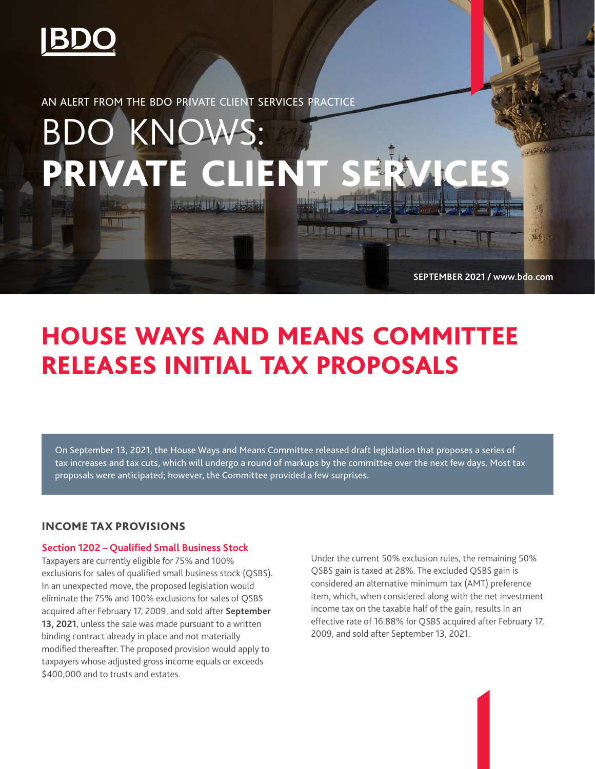

AN ALERT FROM THE BDO PRIVATE CLIENT SERVICES PRACTICE

# BDO KNOWS: PRIVATE CLIEN **Complete In Martin**

**SEPTEMBER 2021 / www.bdo.com**

1

# HOUSE WAYS AND MEANS COMMITTEE RELEASES INITIAL TAX PROPOSALS

On September 13, 2021, the House Ways and Means Committee released draft legislation that proposes a series of tax increases and tax cuts, which will undergo a round of markups by the committee over the next few days. Most tax proposals were anticipated; however, the Committee provided a few surprises.

# INCOME TAX PROVISIONS

## **Section 1202 – Qualified Small Business Stock**

Taxpayers are currently eligible for 75% and 100% exclusions for sales of qualified small business stock (QSBS). In an unexpected move, the proposed legislation would eliminate the 75% and 100% exclusions for sales of QSBS acquired after February 17, 2009, and sold after **September 13, 2021**, unless the sale was made pursuant to a written binding contract already in place and not materially modified thereafter. The proposed provision would apply to taxpayers whose adjusted gross income equals or exceeds \$400,000 and to trusts and estates.

Under the current 50% exclusion rules, the remaining 50% QSBS gain is taxed at 28%. The excluded QSBS gain is considered an alternative minimum tax (AMT) preference item, which, when considered along with the net investment income tax on the taxable half of the gain, results in an effective rate of 16.88% for QSBS acquired after February 17, 2009, and sold after September 13, 2021.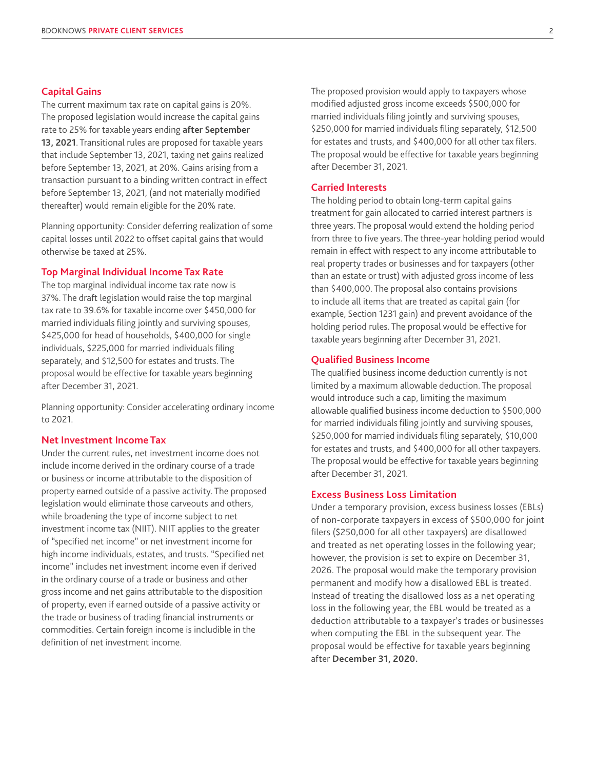#### **Capital Gains**

The current maximum tax rate on capital gains is 20%. The proposed legislation would increase the capital gains rate to 25% for taxable years ending **after September 13, 2021**. Transitional rules are proposed for taxable years that include September 13, 2021, taxing net gains realized before September 13, 2021, at 20%. Gains arising from a transaction pursuant to a binding written contract in effect before September 13, 2021, (and not materially modified thereafter) would remain eligible for the 20% rate.

Planning opportunity: Consider deferring realization of some capital losses until 2022 to offset capital gains that would otherwise be taxed at 25%.

## **Top Marginal Individual Income Tax Rate**

The top marginal individual income tax rate now is 37%. The draft legislation would raise the top marginal tax rate to 39.6% for taxable income over \$450,000 for married individuals filing jointly and surviving spouses, \$425,000 for head of households, \$400,000 for single individuals, \$225,000 for married individuals filing separately, and \$12,500 for estates and trusts. The proposal would be effective for taxable years beginning after December 31, 2021.

Planning opportunity: Consider accelerating ordinary income to 2021.

## **Net Investment Income Tax**

Under the current rules, net investment income does not include income derived in the ordinary course of a trade or business or income attributable to the disposition of property earned outside of a passive activity. The proposed legislation would eliminate those carveouts and others, while broadening the type of income subject to net investment income tax (NIIT). NIIT applies to the greater of "specified net income" or net investment income for high income individuals, estates, and trusts. "Specified net income" includes net investment income even if derived in the ordinary course of a trade or business and other gross income and net gains attributable to the disposition of property, even if earned outside of a passive activity or the trade or business of trading financial instruments or commodities. Certain foreign income is includible in the definition of net investment income.

The proposed provision would apply to taxpayers whose modified adjusted gross income exceeds \$500,000 for married individuals filing jointly and surviving spouses, \$250,000 for married individuals filing separately, \$12,500 for estates and trusts, and \$400,000 for all other tax filers. The proposal would be effective for taxable years beginning after December 31, 2021.

#### **Carried Interests**

The holding period to obtain long-term capital gains treatment for gain allocated to carried interest partners is three years. The proposal would extend the holding period from three to five years. The three-year holding period would remain in effect with respect to any income attributable to real property trades or businesses and for taxpayers (other than an estate or trust) with adjusted gross income of less than \$400,000. The proposal also contains provisions to include all items that are treated as capital gain (for example, Section 1231 gain) and prevent avoidance of the holding period rules. The proposal would be effective for taxable years beginning after December 31, 2021. duals filing jointly and surviving spouses,<br>married individuals filing separately, \$12,500<br>d trusts, and \$400,000 for all other tax filers.<br>would be effective for taxable years beginning<br>er 31, 2021.<br>**rests**<br>erior of to ob

#### **Qualified Business Income**

The qualified business income deduction currently is not limited by a maximum allowable deduction. The proposal would introduce such a cap, limiting the maximum allowable qualified business income deduction to \$500,000 for married individuals filing jointly and surviving spouses, \$250,000 for married individuals filing separately, \$10,000 for estates and trusts, and \$400,000 for all other taxpayers. The proposal would be effective for taxable years beginning after December 31, 2021.

#### **Excess Business Loss Limitation**

Under a temporary provision, excess business losses (EBLs) of non-corporate taxpayers in excess of \$500,000 for joint filers (\$250,000 for all other taxpayers) are disallowed and treated as net operating losses in the following year; however, the provision is set to expire on December 31, 2026. The proposal would make the temporary provision permanent and modify how a disallowed EBL is treated. Instead of treating the disallowed loss as a net operating loss in the following year, the EBL would be treated as a deduction attributable to a taxpayer's trades or businesses when computing the EBL in the subsequent year. The proposal would be effective for taxable years beginning after **December 31, 2020.**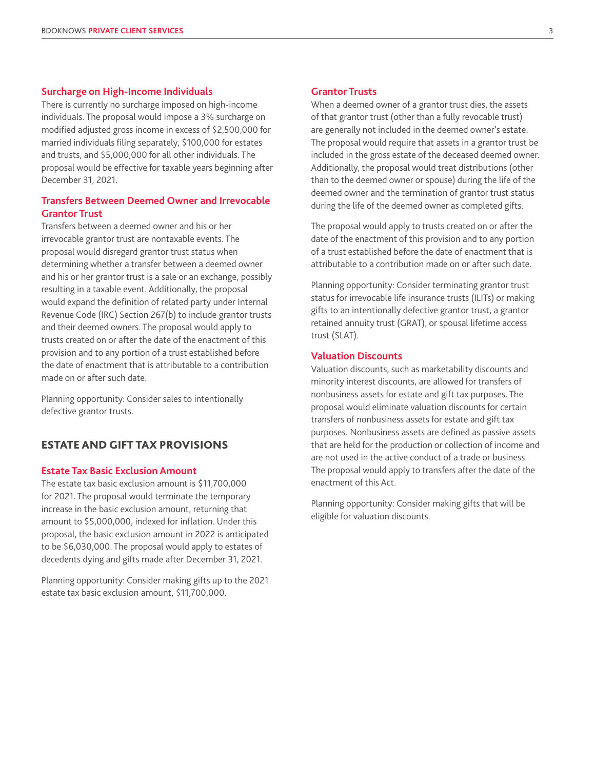#### **Surcharge on High-Income Individuals**

There is currently no surcharge imposed on high-income individuals. The proposal would impose a 3% surcharge on modified adjusted gross income in excess of \$2,500,000 for married individuals filing separately, \$100,000 for estates and trusts, and \$5,000,000 for all other individuals. The proposal would be effective for taxable years beginning after December 31, 2021.

# **Transfers Between Deemed Owner and Irrevocable Grantor Trust**

Transfers between a deemed owner and his or her irrevocable grantor trust are nontaxable events. The proposal would disregard grantor trust status when determining whether a transfer between a deemed owner and his or her grantor trust is a sale or an exchange, possibly resulting in a taxable event. Additionally, the proposal would expand the definition of related party under Internal Revenue Code (IRC) Section 267(b) to include grantor trusts and their deemed owners. The proposal would apply to trusts created on or after the date of the enactment of this provision and to any portion of a trust established before the date of enactment that is attributable to a contribution made on or after such date.

Planning opportunity: Consider sales to intentionally defective grantor trusts.

# ESTATE AND GIFT TAX PROVISIONS

## **Estate Tax Basic Exclusion Amount**

The estate tax basic exclusion amount is \$11,700,000 for 2021. The proposal would terminate the temporary increase in the basic exclusion amount, returning that amount to \$5,000,000, indexed for inflation. Under this proposal, the basic exclusion amount in 2022 is anticipated to be \$6,030,000. The proposal would apply to estates of decedents dying and gifts made after December 31, 2021.

Planning opportunity: Consider making gifts up to the 2021 estate tax basic exclusion amount, \$11,700,000.

## **Grantor Trusts**

When a deemed owner of a grantor trust dies, the assets of that grantor trust (other than a fully revocable trust) are generally not included in the deemed owner's estate. The proposal would require that assets in a grantor trust be included in the gross estate of the deceased deemed owner. Additionally, the proposal would treat distributions (other than to the deemed owner or spouse) during the life of the deemed owner and the termination of grantor trust status during the life of the deemed owner as completed gifts.

The proposal would apply to trusts created on or after the date of the enactment of this provision and to any portion of a trust established before the date of enactment that is attributable to a contribution made on or after such date.

Planning opportunity: Consider terminating grantor trust status for irrevocable life insurance trusts (ILITs) or making gifts to an intentionally defective grantor trust, a grantor retained annuity trust (GRAT), or spousal lifetime access trust (SLAT).

#### **Valuation Discounts**

Valuation discounts, such as marketability discounts and minority interest discounts, are allowed for transfers of nonbusiness assets for estate and gift tax purposes. The proposal would eliminate valuation discounts for certain transfers of nonbusiness assets for estate and gift tax purposes. Nonbusiness assets are defined as passive assets that are held for the production or collection of income and are not used in the active conduct of a trade or business. The proposal would apply to transfers after the date of the enactment of this Act.

Planning opportunity: Consider making gifts that will be eligible for valuation discounts.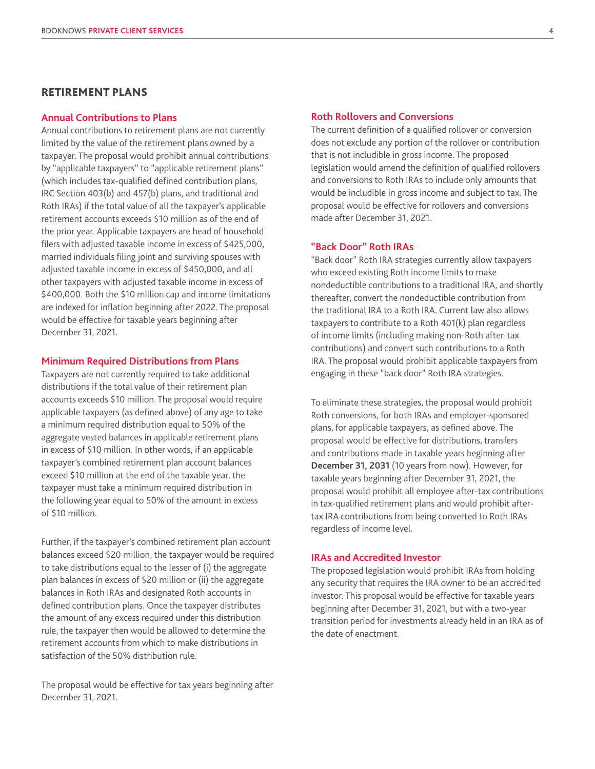## RETIREMENT PLANS

## **Annual Contributions to Plans**

Annual contributions to retirement plans are not currently limited by the value of the retirement plans owned by a taxpayer. The proposal would prohibit annual contributions by "applicable taxpayers" to "applicable retirement plans" (which includes tax-qualified defined contribution plans, IRC Section 403(b) and 457(b) plans, and traditional and Roth IRAs) if the total value of all the taxpayer's applicable retirement accounts exceeds \$10 million as of the end of the prior year. Applicable taxpayers are head of household filers with adjusted taxable income in excess of \$425,000, married individuals filing joint and surviving spouses with adjusted taxable income in excess of \$450,000, and all other taxpayers with adjusted taxable income in excess of \$400,000. Both the \$10 million cap and income limitations are indexed for inflation beginning after 2022. The proposal would be effective for taxable years beginning after December 31, 2021.

#### **Minimum Required Distributions from Plans**

Taxpayers are not currently required to take additional distributions if the total value of their retirement plan accounts exceeds \$10 million. The proposal would require applicable taxpayers (as defined above) of any age to take a minimum required distribution equal to 50% of the aggregate vested balances in applicable retirement plans in excess of \$10 million. In other words, if an applicable taxpayer's combined retirement plan account balances exceed \$10 million at the end of the taxable year, the taxpayer must take a minimum required distribution in the following year equal to 50% of the amount in excess of \$10 million.

Further, if the taxpayer's combined retirement plan account balances exceed \$20 million, the taxpayer would be required to take distributions equal to the lesser of (i) the aggregate plan balances in excess of \$20 million or (ii) the aggregate balances in Roth IRAs and designated Roth accounts in defined contribution plans. Once the taxpayer distributes the amount of any excess required under this distribution rule, the taxpayer then would be allowed to determine the retirement accounts from which to make distributions in satisfaction of the 50% distribution rule.

The proposal would be effective for tax years beginning after December 31, 2021.

#### **Roth Rollovers and Conversions**

The current definition of a qualified rollover or conversion does not exclude any portion of the rollover or contribution that is not includible in gross income. The proposed legislation would amend the definition of qualified rollovers and conversions to Roth IRAs to include only amounts that would be includible in gross income and subject to tax. The proposal would be effective for rollovers and conversions made after December 31, 2021.

### **"Back Door" Roth IRAs**

"Back door" Roth IRA strategies currently allow taxpayers who exceed existing Roth income limits to make nondeductible contributions to a traditional IRA, and shortly thereafter, convert the nondeductible contribution from the traditional IRA to a Roth IRA. Current law also allows taxpayers to contribute to a Roth 401(k) plan regardless of income limits (including making non-Roth after-tax contributions) and convert such contributions to a Roth IRA. The proposal would prohibit applicable taxpayers from engaging in these "back door" Roth IRA strategies.

To eliminate these strategies, the proposal would prohibit Roth conversions, for both IRAs and employer-sponsored plans, for applicable taxpayers, as defined above. The proposal would be effective for distributions, transfers and contributions made in taxable years beginning after **December 31, 2031** (10 years from now). However, for taxable years beginning after December 31, 2021, the proposal would prohibit all employee after-tax contributions in tax-qualified retirement plans and would prohibit aftertax IRA contributions from being converted to Roth IRAs regardless of income level.

## **IRAs and Accredited Investor**

The proposed legislation would prohibit IRAs from holding any security that requires the IRA owner to be an accredited investor. This proposal would be effective for taxable years beginning after December 31, 2021, but with a two-year transition period for investments already held in an IRA as of the date of enactment.